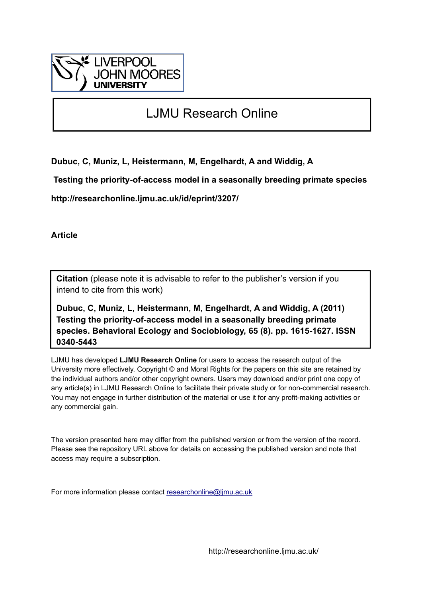

# LJMU Research Online

**Dubuc, C, Muniz, L, Heistermann, M, Engelhardt, A and Widdig, A**

 **Testing the priority-of-access model in a seasonally breeding primate species**

**http://researchonline.ljmu.ac.uk/id/eprint/3207/**

**Article**

**Citation** (please note it is advisable to refer to the publisher's version if you intend to cite from this work)

**Dubuc, C, Muniz, L, Heistermann, M, Engelhardt, A and Widdig, A (2011) Testing the priority-of-access model in a seasonally breeding primate species. Behavioral Ecology and Sociobiology, 65 (8). pp. 1615-1627. ISSN 0340-5443** 

LJMU has developed **[LJMU Research Online](http://researchonline.ljmu.ac.uk/)** for users to access the research output of the University more effectively. Copyright © and Moral Rights for the papers on this site are retained by the individual authors and/or other copyright owners. Users may download and/or print one copy of any article(s) in LJMU Research Online to facilitate their private study or for non-commercial research. You may not engage in further distribution of the material or use it for any profit-making activities or any commercial gain.

The version presented here may differ from the published version or from the version of the record. Please see the repository URL above for details on accessing the published version and note that access may require a subscription.

For more information please contact [researchonline@ljmu.ac.uk](mailto:researchonline@ljmu.ac.uk)

http://researchonline.ljmu.ac.uk/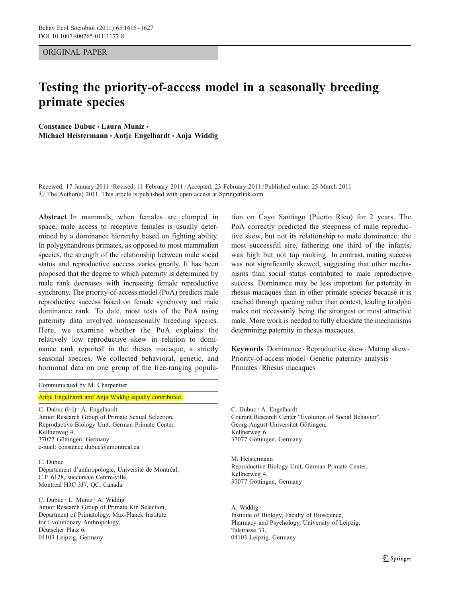ORIGINAL PAPER

# Testing the priority-of-access model in a seasonally breeding primate species

Constance Dubuc . Laura Muniz . Michael Heistermann · Antje Engelhardt · Anja Widdig

Received: 17 January 2011 /Revised: 11 February 2011 /Accepted: 23 February 2011 / Published online: 25 March 2011  $\odot$  The Author(s) 2011. This article is published with open access at Springerlink.com

Abstract In mammals, when females are clumped in space, male access to receptive females is usually determined by a dominance hierarchy based on fighting ability. In polygynandrous primates, as opposed to most mammalian species, the strength of the relationship between male social status and reproductive success varies greatly. It has been proposed that the degree to which paternity is determined by male rank decreases with increasing female reproductive synchrony. The priority-of-access model (PoA) predicts male reproductive success based on female synchrony and male dominance rank. To date, most tests of the PoA using paternity data involved nonseasonally breeding species. Here, we examine whether the PoA explains the relatively low reproductive skew in relation to dominance rank reported in the rhesus macaque, a strictly seasonal species. We collected behavioral, genetic, and hormonal data on one group of the free-ranging popula-

Communicated by M. Charpentier

Antje Engelhardt and Anja Widdig equally contributed.

C. Dubuc  $(\boxtimes) \cdot A$ . Engelhardt Junior Research Group of Primate Sexual Selection, Reproductive Biology Unit, German Primate Center, Kellnerweg 4, 37077 Göttingen, Germany e-mail: constance.dubuc@umontreal.ca

C. Dubuc Département d'anthropologie, Université de Montréal, C.P. 6128, succursale Centre-ville, Montreal H3C 3J7, QC, Canada

C. Dubuc : L. Muniz : A. Widdig Junior Research Group of Primate Kin Selection, Department of Primatology, Max-Planck Institute for Evolutionary Anthropology, Deutscher Platz 6, 04103 Leipzig, Germany

tion on Cayo Santiago (Puerto Rico) for 2 years. The PoA correctly predicted the steepness of male reproductive skew, but not its relationship to male dominance: the most successful sire, fathering one third of the infants, was high but not top ranking. In contrast, mating success was not significantly skewed, suggesting that other mechanisms than social status contributed to male reproductive success. Dominance may be less important for paternity in rhesus macaques than in other primate species because it is reached through queuing rather than contest, leading to alpha males not necessarily being the strongest or most attractive male. More work is needed to fully elucidate the mechanisms determining paternity in rhesus macaques.

Keywords Dominance . Reproductive skew. Mating skew. Priority-of-access model . Genetic paternity analysis. Primates . Rhesus macaques

C. Dubuc : A. Engelhardt Courant Research Center "Evolution of Social Behavior", Georg-August-Universität Göttingen, Kellnerweg 6, 37077 Göttingen, Germany

M. Heistermann Reproductive Biology Unit, German Primate Center, Kellnerweg 4, 37077 Göttingen, Germany

A. Widdig Institute of Biology, Faculty of Bioscience, Pharmacy and Psychology, University of Leipzig, Talstrasse 33, 04103 Leipzig, Germany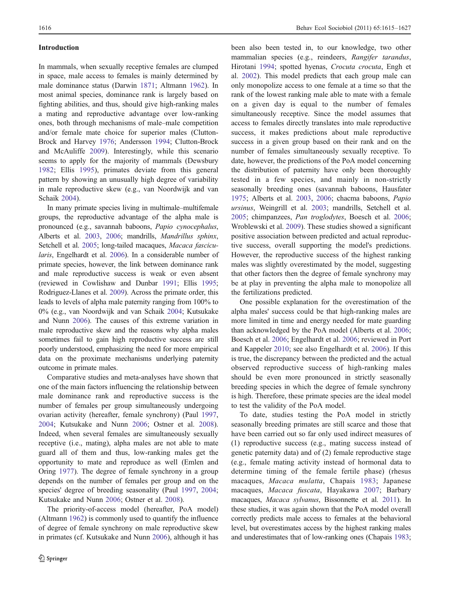#### Introduction

In mammals, when sexually receptive females are clumped in space, male access to females is mainly determined by male dominance status (Darwin [1871](#page-11-0); Altmann [1962](#page-11-0)). In most animal species, dominance rank is largely based on fighting abilities, and thus, should give high-ranking males a mating and reproductive advantage over low-ranking ones, both through mechanisms of male–male competition and/or female mate choice for superior males (Clutton-Brock and Harvey [1976](#page-11-0); Andersson [1994](#page-11-0); Clutton-Brock and McAuliffe [2009\)](#page-11-0). Interestingly, while this scenario seems to apply for the majority of mammals (Dewsbury [1982](#page-12-0); Ellis [1995](#page-12-0)), primates deviate from this general pattern by showing an unusually high degree of variability in male reproductive skew (e.g., van Noordwijk and van Schaik [2004](#page-13-0)).

In many primate species living in multimale–multifemale groups, the reproductive advantage of the alpha male is pronounced (e.g., savannah baboons, Papio cynocephalus, Alberts et al. [2003](#page-11-0), [2006;](#page-11-0) mandrills, Mandrillus sphinx, Setchell et al. [2005](#page-13-0); long-tailed macaques, Macaca fascicularis, Engelhardt et al. [2006\)](#page-12-0). In a considerable number of primate species, however, the link between dominance rank and male reproductive success is weak or even absent (reviewed in Cowlishaw and Dunbar [1991](#page-11-0); Ellis [1995](#page-12-0); Rodriguez-Llanes et al. [2009\)](#page-12-0). Across the primate order, this leads to levels of alpha male paternity ranging from 100% to 0% (e.g., van Noordwijk and van Schaik [2004](#page-13-0); Kutsukake and Nunn [2006\)](#page-12-0). The causes of this extreme variation in male reproductive skew and the reasons why alpha males sometimes fail to gain high reproductive success are still poorly understood, emphasizing the need for more empirical data on the proximate mechanisms underlying paternity outcome in primate males.

Comparative studies and meta-analyses have shown that one of the main factors influencing the relationship between male dominance rank and reproductive success is the number of females per group simultaneously undergoing ovarian activity (hereafter, female synchrony) (Paul [1997,](#page-12-0) [2004;](#page-12-0) Kutsukake and Nunn [2006](#page-12-0); Ostner et al. [2008](#page-12-0)). Indeed, when several females are simultaneously sexually receptive (i.e., mating), alpha males are not able to mate guard all of them and thus, low-ranking males get the opportunity to mate and reproduce as well (Emlen and Oring [1977](#page-12-0)). The degree of female synchrony in a group depends on the number of females per group and on the species' degree of breeding seasonality (Paul [1997,](#page-12-0) [2004](#page-12-0); Kutsukake and Nunn [2006;](#page-12-0) Ostner et al. [2008\)](#page-12-0).

The priority-of-access model (hereafter, PoA model) (Altmann [1962](#page-11-0)) is commonly used to quantify the influence of degree of female synchrony on male reproductive skew in primates (cf. Kutsukake and Nunn [2006\)](#page-12-0), although it has been also been tested in, to our knowledge, two other mammalian species (e.g., reindeers, Rangifer tarandus, Hirotani [1994](#page-12-0); spotted hyenas, Crocuta crocuta, Engh et al. [2002](#page-12-0)). This model predicts that each group male can only monopolize access to one female at a time so that the rank of the lowest ranking male able to mate with a female on a given day is equal to the number of females simultaneously receptive. Since the model assumes that access to females directly translates into male reproductive success, it makes predictions about male reproductive success in a given group based on their rank and on the number of females simultaneously sexually receptive. To date, however, the predictions of the PoA model concerning the distribution of paternity have only been thoroughly tested in a few species, and mainly in non-strictly seasonally breeding ones (savannah baboons, Hausfater [1975](#page-12-0); Alberts et al. [2003,](#page-11-0) [2006;](#page-11-0) chacma baboons, Papio ursinus, Weingrill et al. [2003](#page-13-0); mandrills, Setchell et al. [2005](#page-13-0); chimpanzees, Pan troglodytes, Boesch et al. [2006;](#page-11-0) Wroblewski et al. [2009](#page-13-0)). These studies showed a significant positive association between predicted and actual reproductive success, overall supporting the model's predictions. However, the reproductive success of the highest ranking males was slightly overestimated by the model, suggesting that other factors then the degree of female synchrony may be at play in preventing the alpha male to monopolize all the fertilizations predicted.

One possible explanation for the overestimation of the alpha males' success could be that high-ranking males are more limited in time and energy needed for mate guarding than acknowledged by the PoA model (Alberts et al. [2006;](#page-11-0) Boesch et al. [2006;](#page-11-0) Engelhardt et al. [2006](#page-12-0); reviewed in Port and Kappeler [2010;](#page-12-0) see also Engelhardt et al. [2006\)](#page-12-0). If this is true, the discrepancy between the predicted and the actual observed reproductive success of high-ranking males should be even more pronounced in strictly seasonally breeding species in which the degree of female synchrony is high. Therefore, these primate species are the ideal model to test the validity of the PoA model.

To date, studies testing the PoA model in strictly seasonally breeding primates are still scarce and those that have been carried out so far only used indirect measures of (1) reproductive success (e.g., mating success instead of genetic paternity data) and of (2) female reproductive stage (e.g., female mating activity instead of hormonal data to determine timing of the female fertile phase) (rhesus macaques, Macaca mulatta, Chapais [1983;](#page-11-0) Japanese macaques, Macaca fuscata, Hayakawa [2007](#page-12-0); Barbary macaques, Macaca sylvanus, Bissonnette et al. [2011](#page-11-0)). In these studies, it was again shown that the PoA model overall correctly predicts male access to females at the behavioral level, but overestimates access by the highest ranking males and underestimates that of low-ranking ones (Chapais [1983;](#page-11-0)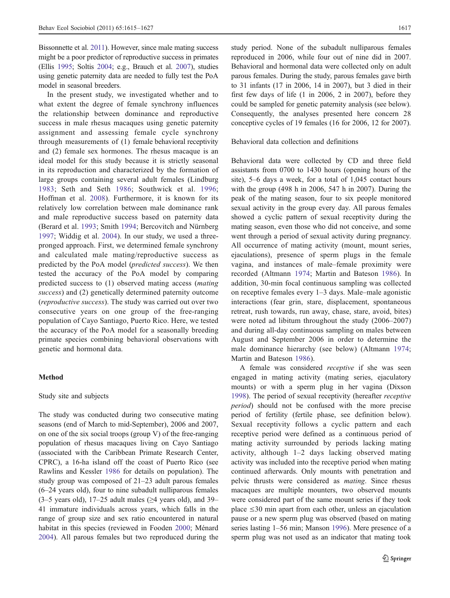Bissonnette et al. [2011](#page-11-0)). However, since male mating success might be a poor predictor of reproductive success in primates (Ellis [1995;](#page-12-0) Soltis [2004](#page-13-0); e.g., Brauch et al. [2007](#page-11-0)), studies using genetic paternity data are needed to fully test the PoA model in seasonal breeders.

In the present study, we investigated whether and to what extent the degree of female synchrony influences the relationship between dominance and reproductive success in male rhesus macaques using genetic paternity assignment and assessing female cycle synchrony through measurements of (1) female behavioral receptivity and (2) female sex hormones. The rhesus macaque is an ideal model for this study because it is strictly seasonal in its reproduction and characterized by the formation of large groups containing several adult females (Lindburg [1983;](#page-12-0) Seth and Seth [1986](#page-13-0); Southwick et al. [1996](#page-13-0); Hoffman et al. [2008\)](#page-12-0). Furthermore, it is known for its relatively low correlation between male dominance rank and male reproductive success based on paternity data (Berard et al. [1993;](#page-11-0) Smith [1994](#page-13-0); Bercovitch and Nürnberg [1997](#page-11-0); Widdig et al. [2004](#page-13-0)). In our study, we used a threepronged approach. First, we determined female synchrony and calculated male mating/reproductive success as predicted by the PoA model (predicted success). We then tested the accuracy of the PoA model by comparing predicted success to (1) observed mating access (mating success) and (2) genetically determined paternity outcome (reproductive success). The study was carried out over two consecutive years on one group of the free-ranging population of Cayo Santiago, Puerto Rico. Here, we tested the accuracy of the PoA model for a seasonally breeding primate species combining behavioral observations with genetic and hormonal data.

#### Method

#### Study site and subjects

The study was conducted during two consecutive mating seasons (end of March to mid-September), 2006 and 2007, on one of the six social troops (group V) of the free-ranging population of rhesus macaques living on Cayo Santiago (associated with the Caribbean Primate Research Center, CPRC), a 16-ha island off the coast of Puerto Rico (see Rawlins and Kessler [1986](#page-12-0) for details on population). The study group was composed of 21–23 adult parous females (6–24 years old), four to nine subadult nulliparous females  $(3–5 \text{ years old})$ , 17–25 adult males ( $\geq 4$  years old), and 39– 41 immature individuals across years, which falls in the range of group size and sex ratio encountered in natural habitat in this species (reviewed in Fooden [2000;](#page-12-0) Ménard [2004\)](#page-12-0). All parous females but two reproduced during the study period. None of the subadult nulliparous females reproduced in 2006, while four out of nine did in 2007. Behavioral and hormonal data were collected only on adult parous females. During the study, parous females gave birth to 31 infants (17 in 2006, 14 in 2007), but 3 died in their first few days of life (1 in 2006, 2 in 2007), before they could be sampled for genetic paternity analysis (see below). Consequently, the analyses presented here concern 28 conceptive cycles of 19 females (16 for 2006, 12 for 2007).

Behavioral data collection and definitions

Behavioral data were collected by CD and three field assistants from 0700 to 1430 hours (opening hours of the site), 5–6 days a week, for a total of 1,045 contact hours with the group (498 h in 2006, 547 h in 2007). During the peak of the mating season, four to six people monitored sexual activity in the group every day. All parous females showed a cyclic pattern of sexual receptivity during the mating season, even those who did not conceive, and some went through a period of sexual activity during pregnancy. All occurrence of mating activity (mount, mount series, ejaculations), presence of sperm plugs in the female vagina, and instances of male–female proximity were recorded (Altmann [1974;](#page-11-0) Martin and Bateson [1986\)](#page-12-0). In addition, 30-min focal continuous sampling was collected on receptive females every 1–3 days. Male–male agonistic interactions (fear grin, stare, displacement, spontaneous retreat, rush towards, run away, chase, stare, avoid, bites) were noted ad libitum throughout the study (2006–2007) and during all-day continuous sampling on males between August and September 2006 in order to determine the male dominance hierarchy (see below) (Altmann [1974;](#page-11-0) Martin and Bateson [1986](#page-12-0)).

A female was considered receptive if she was seen engaged in mating activity (mating series, ejaculatory mounts) or with a sperm plug in her vagina (Dixson [1998](#page-12-0)). The period of sexual receptivity (hereafter receptive period) should not be confused with the more precise period of fertility (fertile phase, see definition below). Sexual receptivity follows a cyclic pattern and each receptive period were defined as a continuous period of mating activity surrounded by periods lacking mating activity, although 1–2 days lacking observed mating activity was included into the receptive period when mating continued afterwards. Only mounts with penetration and pelvic thrusts were considered as mating. Since rhesus macaques are multiple mounters, two observed mounts were considered part of the same mount series if they took place ≤30 min apart from each other, unless an ejaculation pause or a new sperm plug was observed (based on mating series lasting 1–56 min; Manson [1996](#page-12-0)). Mere presence of a sperm plug was not used as an indicator that mating took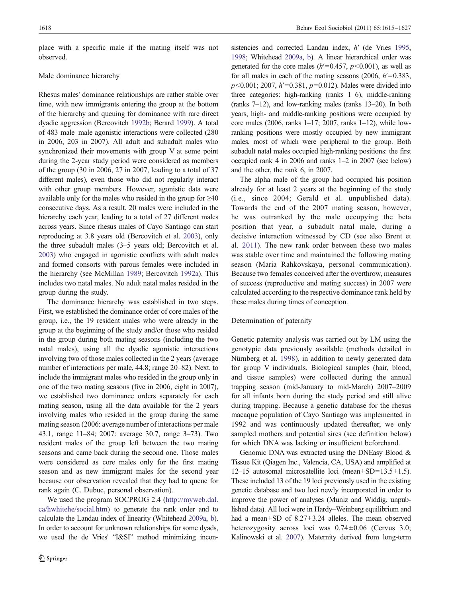place with a specific male if the mating itself was not observed.

# Male dominance hierarchy

Rhesus males' dominance relationships are rather stable over time, with new immigrants entering the group at the bottom of the hierarchy and queuing for dominance with rare direct dyadic aggression (Bercovitch [1992b;](#page-11-0) Berard [1999\)](#page-11-0). A total of 483 male–male agonistic interactions were collected (280 in 2006, 203 in 2007). All adult and subadult males who synchronized their movements with group V at some point during the 2-year study period were considered as members of the group (30 in 2006, 27 in 2007, leading to a total of 37 different males), even those who did not regularly interact with other group members. However, agonistic data were available only for the males who resided in the group for  $\geq 40$ consecutive days. As a result, 20 males were included in the hierarchy each year, leading to a total of 27 different males across years. Since rhesus males of Cayo Santiago can start reproducing at 3.8 years old (Bercovitch et al. [2003](#page-11-0)), only the three subadult males (3–5 years old; Bercovitch et al. [2003\)](#page-11-0) who engaged in agonistic conflicts with adult males and formed consorts with parous females were included in the hierarchy (see McMillan [1989;](#page-12-0) Bercovitch [1992a\)](#page-11-0). This includes two natal males. No adult natal males resided in the group during the study.

The dominance hierarchy was established in two steps. First, we established the dominance order of core males of the group, i.e., the 19 resident males who were already in the group at the beginning of the study and/or those who resided in the group during both mating seasons (including the two natal males), using all the dyadic agonistic interactions involving two of those males collected in the 2 years (average number of interactions per male, 44.8; range 20–82). Next, to include the immigrant males who resided in the group only in one of the two mating seasons (five in 2006, eight in 2007), we established two dominance orders separately for each mating season, using all the data available for the 2 years involving males who resided in the group during the same mating season (2006: average number of interactions per male 43.1, range 11–84; 2007: average 30.7, range 3–73). Two resident males of the group left between the two mating seasons and came back during the second one. Those males were considered as core males only for the first mating season and as new immigrant males for the second year because our observation revealed that they had to queue for rank again (C. Dubuc, personal observation).

We used the program SOCPROG 2.4 [\(http://myweb.dal.](http://myweb.dal.ca/hwhitehe/social.htm) [ca/hwhitehe/social.htm](http://myweb.dal.ca/hwhitehe/social.htm)) to generate the rank order and to calculate the Landau index of linearity (Whitehead [2009a,](#page-13-0) [b\)](#page-13-0). In order to account for unknown relationships for some dyads, we used the de Vries' "I&SI" method minimizing incon-

sistencies and corrected Landau index, h' (de Vries [1995,](#page-11-0) [1998](#page-12-0); Whitehead [2009a](#page-13-0), [b\)](#page-13-0). A linear hierarchical order was generated for the core males ( $h' = 0.457$ ,  $p < 0.001$ ), as well as for all males in each of the mating seasons  $(2006, h' = 0.383,$  $p<0.001$ ; 2007,  $h' = 0.381$ ,  $p=0.012$ ). Males were divided into three categories: high-ranking (ranks 1–6), middle-ranking (ranks 7–12), and low-ranking males (ranks 13–20). In both years, high- and middle-ranking positions were occupied by core males (2006, ranks  $1-17$ ; 2007, ranks  $1-12$ ), while lowranking positions were mostly occupied by new immigrant males, most of which were peripheral to the group. Both subadult natal males occupied high-ranking positions: the first occupied rank 4 in 2006 and ranks 1–2 in 2007 (see below) and the other, the rank 6, in 2007.

The alpha male of the group had occupied his position already for at least 2 years at the beginning of the study (i.e., since 2004; Gerald et al. unpublished data). Towards the end of the 2007 mating season, however, he was outranked by the male occupying the beta position that year, a subadult natal male, during a decisive interaction witnessed by CD (see also Brent et al. [2011\)](#page-11-0). The new rank order between these two males was stable over time and maintained the following mating season (Maria Rahkovskaya, personal communication). Because two females conceived after the overthrow, measures of success (reproductive and mating success) in 2007 were calculated according to the respective dominance rank held by these males during times of conception.

# Determination of paternity

Genetic paternity analysis was carried out by LM using the genotypic data previously available (methods detailed in Nürnberg et al. [1998\)](#page-12-0), in addition to newly generated data for group V individuals. Biological samples (hair, blood, and tissue samples) were collected during the annual trapping season (mid-January to mid-March) 2007–2009 for all infants born during the study period and still alive during trapping. Because a genetic database for the rhesus macaque population of Cayo Santiago was implemented in 1992 and was continuously updated thereafter, we only sampled mothers and potential sires (see definition below) for which DNA was lacking or insufficient beforehand.

Genomic DNA was extracted using the DNEasy Blood & Tissue Kit (Qiagen Inc., Valencia, CA, USA) and amplified at 12–15 autosomal microsatellite loci (mean $\pm$ SD=13.5 $\pm$ 1.5). These included 13 of the 19 loci previously used in the existing genetic database and two loci newly incorporated in order to improve the power of analyses (Muniz and Widdig, unpublished data). All loci were in Hardy–Weinberg equilibrium and had a mean±SD of 8.27±3.24 alleles. The mean observed heterozygosity across loci was  $0.74 \pm 0.06$  (Cervus 3.0; Kalinowski et al. [2007\)](#page-12-0). Maternity derived from long-term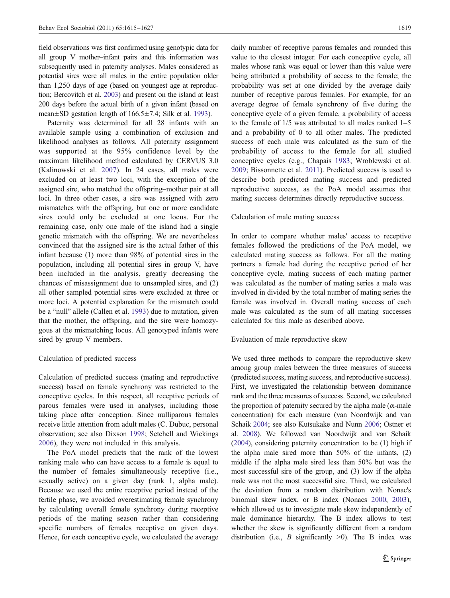field observations was first confirmed using genotypic data for all group V mother–infant pairs and this information was subsequently used in paternity analyses. Males considered as potential sires were all males in the entire population older than 1,250 days of age (based on youngest age at reproduction; Bercovitch et al. [2003\)](#page-11-0) and present on the island at least 200 days before the actual birth of a given infant (based on mean±SD gestation length of 166.5±7.4; Silk et al. [1993](#page-13-0)).

Paternity was determined for all 28 infants with an available sample using a combination of exclusion and likelihood analyses as follows. All paternity assignment was supported at the 95% confidence level by the maximum likelihood method calculated by CERVUS 3.0 (Kalinowski et al. [2007](#page-12-0)). In 24 cases, all males were excluded on at least two loci, with the exception of the assigned sire, who matched the offspring–mother pair at all loci. In three other cases, a sire was assigned with zero mismatches with the offspring, but one or more candidate sires could only be excluded at one locus. For the remaining case, only one male of the island had a single genetic mismatch with the offspring. We are nevertheless convinced that the assigned sire is the actual father of this infant because (1) more than 98% of potential sires in the population, including all potential sires in group V, have been included in the analysis, greatly decreasing the chances of misassignment due to unsampled sires, and (2) all other sampled potential sires were excluded at three or more loci. A potential explanation for the mismatch could be a "null" allele (Callen et al. [1993\)](#page-11-0) due to mutation, given that the mother, the offspring, and the sire were homozygous at the mismatching locus. All genotyped infants were sired by group V members.

# Calculation of predicted success

Calculation of predicted success (mating and reproductive success) based on female synchrony was restricted to the conceptive cycles. In this respect, all receptive periods of parous females were used in analyses, including those taking place after conception. Since nulliparous females receive little attention from adult males (C. Dubuc, personal observation; see also Dixson [1998;](#page-12-0) Setchell and Wickings [2006\)](#page-13-0), they were not included in this analysis.

The PoA model predicts that the rank of the lowest ranking male who can have access to a female is equal to the number of females simultaneously receptive (i.e., sexually active) on a given day (rank 1, alpha male). Because we used the entire receptive period instead of the fertile phase, we avoided overestimating female synchrony by calculating overall female synchrony during receptive periods of the mating season rather than considering specific numbers of females receptive on given days. Hence, for each conceptive cycle, we calculated the average daily number of receptive parous females and rounded this value to the closest integer. For each conceptive cycle, all males whose rank was equal or lower than this value were being attributed a probability of access to the female; the probability was set at one divided by the average daily number of receptive parous females. For example, for an average degree of female synchrony of five during the conceptive cycle of a given female, a probability of access to the female of 1/5 was attributed to all males ranked 1–5 and a probability of 0 to all other males. The predicted success of each male was calculated as the sum of the probability of access to the female for all studied conceptive cycles (e.g., Chapais [1983](#page-11-0); Wroblewski et al. [2009](#page-13-0); Bissonnette et al. [2011\)](#page-11-0). Predicted success is used to describe both predicted mating success and predicted reproductive success, as the PoA model assumes that mating success determines directly reproductive success.

#### Calculation of male mating success

In order to compare whether males' access to receptive females followed the predictions of the PoA model, we calculated mating success as follows. For all the mating partners a female had during the receptive period of her conceptive cycle, mating success of each mating partner was calculated as the number of mating series a male was involved in divided by the total number of mating series the female was involved in. Overall mating success of each male was calculated as the sum of all mating successes calculated for this male as described above.

Evaluation of male reproductive skew

We used three methods to compare the reproductive skew among group males between the three measures of success (predicted success, mating success, and reproductive success). First, we investigated the relationship between dominance rank and the three measures of success. Second, we calculated the proportion of paternity secured by the alpha male ( $\alpha$ -male concentration) for each measure (van Noordwijk and van Schaik [2004;](#page-13-0) see also Kutsukake and Nunn [2006](#page-12-0); Ostner et al. [2008\)](#page-12-0). We followed van Noordwijk and van Schaik [\(2004\)](#page-13-0), considering paternity concentration to be (1) high if the alpha male sired more than 50% of the infants, (2) middle if the alpha male sired less than 50% but was the most successful sire of the group, and (3) low if the alpha male was not the most successful sire. Third, we calculated the deviation from a random distribution with Nonac's binomial skew index, or B index (Nonacs [2000](#page-12-0), [2003\)](#page-12-0), which allowed us to investigate male skew independently of male dominance hierarchy. The B index allows to test whether the skew is significantly different from a random distribution (i.e., *B* significantly  $>0$ ). The B index was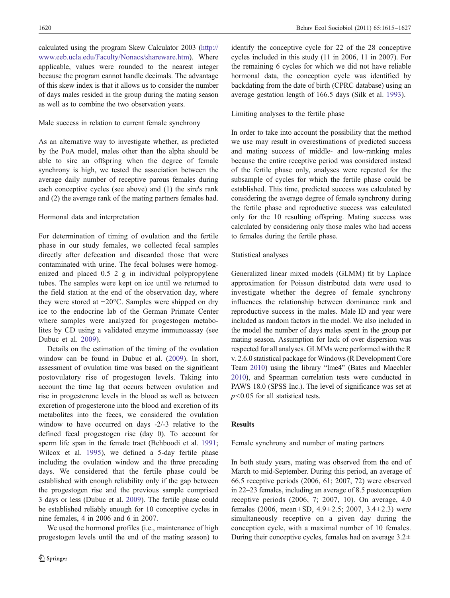calculated using the program Skew Calculator 2003 [\(http://](http://www.eeb.ucla.edu/Faculty/Nonacs/shareware.htm) [www.eeb.ucla.edu/Faculty/Nonacs/shareware.htm\)](http://www.eeb.ucla.edu/Faculty/Nonacs/shareware.htm). Where applicable, values were rounded to the nearest integer because the program cannot handle decimals. The advantage of this skew index is that it allows us to consider the number of days males resided in the group during the mating season as well as to combine the two observation years.

### Male success in relation to current female synchrony

As an alternative way to investigate whether, as predicted by the PoA model, males other than the alpha should be able to sire an offspring when the degree of female synchrony is high, we tested the association between the average daily number of receptive parous females during each conceptive cycles (see above) and (1) the sire's rank and (2) the average rank of the mating partners females had.

# Hormonal data and interpretation

For determination of timing of ovulation and the fertile phase in our study females, we collected fecal samples directly after defecation and discarded those that were contaminated with urine. The fecal boluses were homogenized and placed 0.5–2 g in individual polypropylene tubes. The samples were kept on ice until we returned to the field station at the end of the observation day, where they were stored at −20°C. Samples were shipped on dry ice to the endocrine lab of the German Primate Center where samples were analyzed for progestogen metabolites by CD using a validated enzyme immunoassay (see Dubuc et al. [2009\)](#page-12-0).

Details on the estimation of the timing of the ovulation window can be found in Dubuc et al. [\(2009](#page-12-0)). In short, assessment of ovulation time was based on the significant postovulatory rise of progestogen levels. Taking into account the time lag that occurs between ovulation and rise in progesterone levels in the blood as well as between excretion of progesterone into the blood and excretion of its metabolites into the feces, we considered the ovulation window to have occurred on days -2/-3 relative to the defined fecal progestogen rise (day 0). To account for sperm life span in the female tract (Behboodi et al. [1991](#page-11-0); Wilcox et al. [1995](#page-13-0)), we defined a 5-day fertile phase including the ovulation window and the three preceding days. We considered that the fertile phase could be established with enough reliability only if the gap between the progestogen rise and the previous sample comprised 3 days or less (Dubuc et al. [2009\)](#page-12-0). The fertile phase could be established reliably enough for 10 conceptive cycles in nine females, 4 in 2006 and 6 in 2007.

We used the hormonal profiles (i.e., maintenance of high progestogen levels until the end of the mating season) to identify the conceptive cycle for 22 of the 28 conceptive cycles included in this study (11 in 2006, 11 in 2007). For the remaining 6 cycles for which we did not have reliable hormonal data, the conception cycle was identified by backdating from the date of birth (CPRC database) using an average gestation length of 166.5 days (Silk et al. [1993](#page-13-0)).

Limiting analyses to the fertile phase

In order to take into account the possibility that the method we use may result in overestimations of predicted success and mating success of middle- and low-ranking males because the entire receptive period was considered instead of the fertile phase only, analyses were repeated for the subsample of cycles for which the fertile phase could be established. This time, predicted success was calculated by considering the average degree of female synchrony during the fertile phase and reproductive success was calculated only for the 10 resulting offspring. Mating success was calculated by considering only those males who had access to females during the fertile phase.

# Statistical analyses

Generalized linear mixed models (GLMM) fit by Laplace approximation for Poisson distributed data were used to investigate whether the degree of female synchrony influences the relationship between dominance rank and reproductive success in the males. Male ID and year were included as random factors in the model. We also included in the model the number of days males spent in the group per mating season. Assumption for lack of over dispersion was respected for all analyses. GLMMs were performed with the R v. 2.6.0 statistical package for Windows (R Development Core Team [2010\)](#page-12-0) using the library "lme4" (Bates and Maechler [2010\)](#page-11-0), and Spearman correlation tests were conducted in PAWS 18.0 (SPSS Inc.). The level of significance was set at  $p$ <0.05 for all statistical tests.

# Results

# Female synchrony and number of mating partners

In both study years, mating was observed from the end of March to mid-September. During this period, an average of 66.5 receptive periods (2006, 61; 2007, 72) were observed in 22–23 females, including an average of 8.5 postconception receptive periods (2006, 7; 2007, 10). On average, 4.0 females (2006, mean $\pm$ SD, 4.9 $\pm$ 2.5; 2007, 3.4 $\pm$ 2.3) were simultaneously receptive on a given day during the conception cycle, with a maximal number of 10 females. During their conceptive cycles, females had on average  $3.2\pm$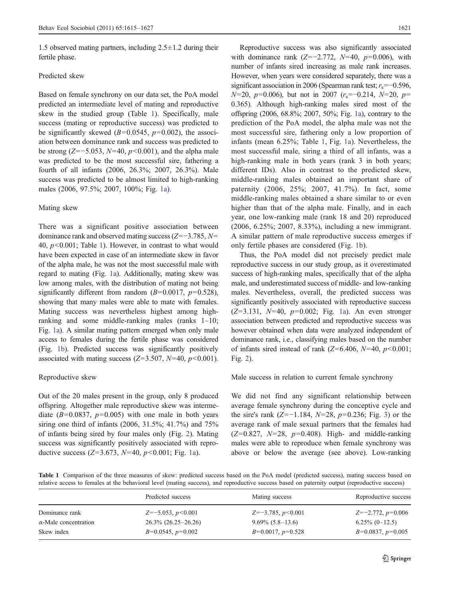1.5 observed mating partners, including  $2.5 \pm 1.2$  during their fertile phase.

#### Predicted skew

Based on female synchrony on our data set, the PoA model predicted an intermediate level of mating and reproductive skew in the studied group (Table 1). Specifically, male success (mating or reproductive success) was predicted to be significantly skewed ( $B=0.0545$ ,  $p=0.002$ ), the association between dominance rank and success was predicted to be strong ( $Z=-5.053$ ,  $N=40$ ,  $p<0.001$ ), and the alpha male was predicted to be the most successful sire, fathering a fourth of all infants (2006, 26.3%; 2007, 26.3%). Male success was predicted to be almost limited to high-ranking males (2006, 97.5%; 2007, 100%; Fig. [1a](#page-8-0)).

#### Mating skew

There was a significant positive association between dominance rank and observed mating success (Z=−3.785, N= 40,  $p<0.001$ ; Table 1). However, in contrast to what would have been expected in case of an intermediate skew in favor of the alpha male, he was not the most successful male with regard to mating (Fig. [1a](#page-8-0)). Additionally, mating skew was low among males, with the distribution of mating not being significantly different from random ( $B=0.0017$ ,  $p=0.528$ ), showing that many males were able to mate with females. Mating success was nevertheless highest among highranking and some middle-ranking males (ranks 1–10; Fig. [1a\)](#page-8-0). A similar mating pattern emerged when only male access to females during the fertile phase was considered (Fig. [1b\)](#page-8-0). Predicted success was significantly positively associated with mating success ( $Z=3.507$ ,  $N=40$ ,  $p<0.001$ ).

#### Reproductive skew

Out of the 20 males present in the group, only 8 produced offspring. Altogether male reproductive skew was intermediate ( $B=0.0837$ ,  $p=0.005$ ) with one male in both years siring one third of infants (2006, 31.5%; 41.7%) and 75% of infants being sired by four males only (Fig. [2](#page-8-0)). Mating success was significantly positively associated with reproductive success (Z=3.673,  $N=40$ ,  $p<0.001$ ; Fig. [1a](#page-8-0)).

Reproductive success was also significantly associated with dominance rank ( $Z=-2.772$ ,  $N=40$ ,  $p=0.006$ ), with number of infants sired increasing as male rank increases. However, when years were considered separately, there was a significant association in 2006 (Spearman rank test;  $r_s = -0.596$ ,  $N=20$ ,  $p=0.006$ ), but not in 2007 ( $r_s=-0.214$ ,  $N=20$ ,  $p=$ 0.365). Although high-ranking males sired most of the offspring (2006, 68.8%; 2007, 50%; Fig. [1a](#page-8-0)), contrary to the prediction of the PoA model, the alpha male was not the most successful sire, fathering only a low proportion of infants (mean 6.25%; Table 1, Fig. [1a](#page-8-0)). Nevertheless, the most successful male, siring a third of all infants, was a high-ranking male in both years (rank 3 in both years; different IDs). Also in contrast to the predicted skew, middle-ranking males obtained an important share of paternity (2006, 25%; 2007, 41.7%). In fact, some middle-ranking males obtained a share similar to or even higher than that of the alpha male. Finally, and in each year, one low-ranking male (rank 18 and 20) reproduced (2006, 6.25%; 2007, 8.33%), including a new immigrant. A similar pattern of male reproductive success emerges if only fertile phases are considered (Fig. [1b\)](#page-8-0).

Thus, the PoA model did not precisely predict male reproductive success in our study group, as it overestimated success of high-ranking males, specifically that of the alpha male, and underestimated success of middle- and low-ranking males. Nevertheless, overall, the predicted success was significantly positively associated with reproductive success  $(Z=3.131, N=40, p=0.002; Fig. 1a)$  $(Z=3.131, N=40, p=0.002; Fig. 1a)$  $(Z=3.131, N=40, p=0.002; Fig. 1a)$ . An even stronger association between predicted and reproductive success was however obtained when data were analyzed independent of dominance rank, i.e., classifying males based on the number of infants sired instead of rank ( $Z=6.406$ ,  $N=40$ ,  $p<0.001$ ; Fig. [2\)](#page-8-0).

#### Male success in relation to current female synchrony

We did not find any significant relationship between average female synchrony during the conceptive cycle and the sire's rank (Z=−1.184,  $N=28$ ,  $p=0.236$  $p=0.236$  $p=0.236$ ; Fig. 3) or the average rank of male sexual partners that the females had  $(Z=0.827, N=28, p=0.408)$ . High- and middle-ranking males were able to reproduce when female synchrony was above or below the average (see above). Low-ranking

Table 1 Comparison of the three measures of skew: predicted success based on the PoA model (predicted success), mating success based on relative access to females at the behavioral level (mating success), and reproductive success based on paternity output (reproductive success)

|                                                | Predicted success                             | Mating success                             | Reproductive success                       |
|------------------------------------------------|-----------------------------------------------|--------------------------------------------|--------------------------------------------|
| Dominance rank<br>$\alpha$ -Male concentration | $Z=-5.053, p<0.001$<br>$26.3\%$ (26.25–26.26) | $Z=-3.785, p<0.001$<br>$9.69\%$ (5.8–13.6) | $Z=-2.772, p=0.006$<br>$6.25\%$ $(0-12.5)$ |
| Skew index                                     | $B=0.0545, p=0.002$                           | $B=0.0017, p=0.528$                        | $B=0.0837, p=0.005$                        |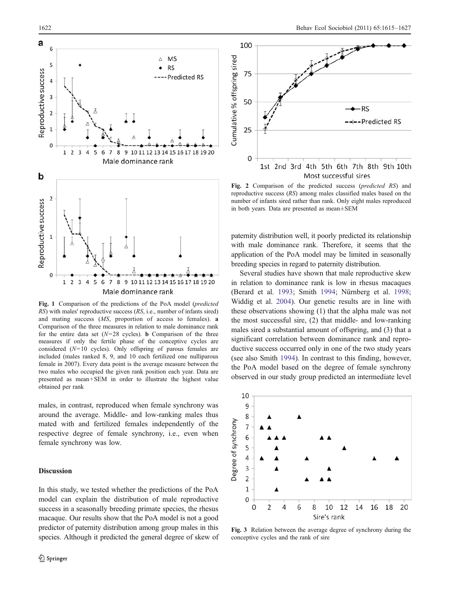<span id="page-8-0"></span>

Fig. 1 Comparison of the predictions of the PoA model (predicted RS) with males' reproductive success (RS, i.e., number of infants sired) and mating success (MS, proportion of access to females). a Comparison of the three measures in relation to male dominance rank for the entire data set ( $N=28$  cycles). **b** Comparison of the three measures if only the fertile phase of the conceptive cycles are considered  $(N=10 \text{ cycles})$ . Only offspring of parous females are included (males ranked 8, 9, and 10 each fertilized one nulliparous female in 2007). Every data point is the average measure between the two males who occupied the given rank position each year. Data are presented as mean+SEM in order to illustrate the highest value obtained per rank

males, in contrast, reproduced when female synchrony was around the average. Middle- and low-ranking males thus mated with and fertilized females independently of the respective degree of female synchrony, i.e., even when female synchrony was low.

## Discussion

In this study, we tested whether the predictions of the PoA model can explain the distribution of male reproductive success in a seasonally breeding primate species, the rhesus macaque. Our results show that the PoA model is not a good predictor of paternity distribution among group males in this species. Although it predicted the general degree of skew of



Fig. 2 Comparison of the predicted success (predicted RS) and reproductive success (RS) among males classified males based on the number of infants sired rather than rank. Only eight males reproduced in both years. Data are presented as mean±SEM

paternity distribution well, it poorly predicted its relationship with male dominance rank. Therefore, it seems that the application of the PoA model may be limited in seasonally breeding species in regard to paternity distribution.

Several studies have shown that male reproductive skew in relation to dominance rank is low in rhesus macaques (Berard et al. [1993;](#page-11-0) Smith [1994](#page-13-0); Nürnberg et al. [1998;](#page-12-0) Widdig et al. [2004\)](#page-13-0). Our genetic results are in line with these observations showing (1) that the alpha male was not the most successful sire, (2) that middle- and low-ranking males sired a substantial amount of offspring, and (3) that a significant correlation between dominance rank and reproductive success occurred only in one of the two study years (see also Smith [1994\)](#page-13-0). In contrast to this finding, however, the PoA model based on the degree of female synchrony observed in our study group predicted an intermediate level



Fig. 3 Relation between the average degree of synchrony during the conceptive cycles and the rank of sire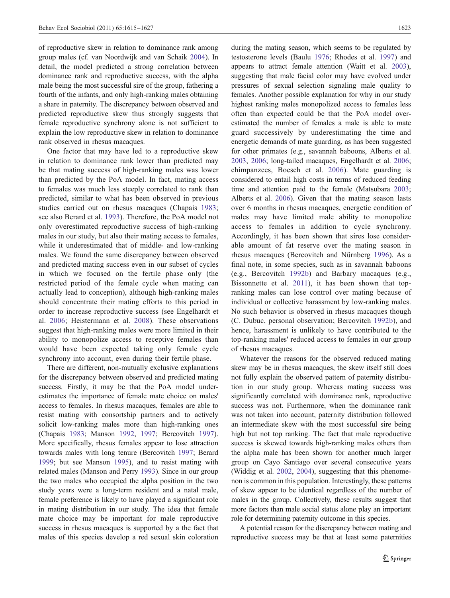of reproductive skew in relation to dominance rank among group males (cf. van Noordwijk and van Schaik [2004\)](#page-13-0). In detail, the model predicted a strong correlation between dominance rank and reproductive success, with the alpha male being the most successful sire of the group, fathering a fourth of the infants, and only high-ranking males obtaining a share in paternity. The discrepancy between observed and predicted reproductive skew thus strongly suggests that female reproductive synchrony alone is not sufficient to explain the low reproductive skew in relation to dominance rank observed in rhesus macaques.

One factor that may have led to a reproductive skew in relation to dominance rank lower than predicted may be that mating success of high-ranking males was lower than predicted by the PoA model. In fact, mating access to females was much less steeply correlated to rank than predicted, similar to what has been observed in previous studies carried out on rhesus macaques (Chapais [1983](#page-11-0); see also Berard et al. [1993\)](#page-11-0). Therefore, the PoA model not only overestimated reproductive success of high-ranking males in our study, but also their mating access to females, while it underestimated that of middle- and low-ranking males. We found the same discrepancy between observed and predicted mating success even in our subset of cycles in which we focused on the fertile phase only (the restricted period of the female cycle when mating can actually lead to conception), although high-ranking males should concentrate their mating efforts to this period in order to increase reproductive success (see Engelhardt et al. [2006](#page-12-0); Heistermann et al. [2008](#page-12-0)). These observations suggest that high-ranking males were more limited in their ability to monopolize access to receptive females than would have been expected taking only female cycle synchrony into account, even during their fertile phase.

There are different, non-mutually exclusive explanations for the discrepancy between observed and predicted mating success. Firstly, it may be that the PoA model underestimates the importance of female mate choice on males' access to females. In rhesus macaques, females are able to resist mating with consortship partners and to actively solicit low-ranking males more than high-ranking ones (Chapais [1983;](#page-11-0) Manson [1992,](#page-12-0) [1997](#page-12-0); Bercovitch [1997](#page-11-0)). More specifically, rhesus females appear to lose attraction towards males with long tenure (Bercovitch [1997;](#page-11-0) Berard [1999;](#page-11-0) but see Manson [1995\)](#page-12-0), and to resist mating with related males (Manson and Perry [1993\)](#page-12-0). Since in our group the two males who occupied the alpha position in the two study years were a long-term resident and a natal male, female preference is likely to have played a significant role in mating distribution in our study. The idea that female mate choice may be important for male reproductive success in rhesus macaques is supported by a the fact that males of this species develop a red sexual skin coloration during the mating season, which seems to be regulated by testosterone levels (Baulu [1976](#page-11-0); Rhodes et al. [1997](#page-12-0)) and appears to attract female attention (Waitt et al. [2003\)](#page-13-0), suggesting that male facial color may have evolved under pressures of sexual selection signaling male quality to females. Another possible explanation for why in our study highest ranking males monopolized access to females less often than expected could be that the PoA model overestimated the number of females a male is able to mate guard successively by underestimating the time and energetic demands of mate guarding, as has been suggested for other primates (e.g., savannah baboons, Alberts et al. [2003](#page-11-0), [2006](#page-11-0); long-tailed macaques, Engelhardt et al. [2006;](#page-12-0) chimpanzees, Boesch et al. [2006](#page-11-0)). Mate guarding is considered to entail high costs in terms of reduced feeding time and attention paid to the female (Matsubara [2003;](#page-12-0) Alberts et al. [2006](#page-11-0)). Given that the mating season lasts over 6 months in rhesus macaques, energetic condition of males may have limited male ability to monopolize access to females in addition to cycle synchrony. Accordingly, it has been shown that sires lose considerable amount of fat reserve over the mating season in rhesus macaques (Bercovitch and Nürnberg [1996](#page-11-0)). As a final note, in some species, such as in savannah baboons (e.g., Bercovitch [1992b\)](#page-11-0) and Barbary macaques (e.g., Bissonnette et al. [2011\)](#page-11-0), it has been shown that topranking males can lose control over mating because of individual or collective harassment by low-ranking males. No such behavior is observed in rhesus macaques though (C. Dubuc, personal observation; Bercovitch [1992b](#page-11-0)), and hence, harassment is unlikely to have contributed to the top-ranking males' reduced access to females in our group of rhesus macaques.

Whatever the reasons for the observed reduced mating skew may be in rhesus macaques, the skew itself still does not fully explain the observed pattern of paternity distribution in our study group. Whereas mating success was significantly correlated with dominance rank, reproductive success was not. Furthermore, when the dominance rank was not taken into account, paternity distribution followed an intermediate skew with the most successful sire being high but not top ranking. The fact that male reproductive success is skewed towards high-ranking males others than the alpha male has been shown for another much larger group on Cayo Santiago over several consecutive years (Widdig et al. [2002](#page-13-0), [2004\)](#page-13-0), suggesting that this phenomenon is common in this population. Interestingly, these patterns of skew appear to be identical regardless of the number of males in the group. Collectively, these results suggest that more factors than male social status alone play an important role for determining paternity outcome in this species.

A potential reason for the discrepancy between mating and reproductive success may be that at least some paternities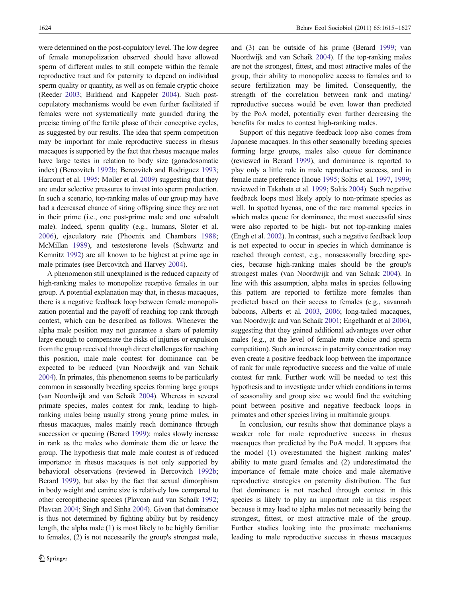were determined on the post-copulatory level. The low degree of female monopolization observed should have allowed sperm of different males to still compete within the female reproductive tract and for paternity to depend on individual sperm quality or quantity, as well as on female cryptic choice (Reeder [2003;](#page-12-0) Birkhead and Kappeler [2004](#page-11-0)). Such postcopulatory mechanisms would be even further facilitated if females were not systematically mate guarded during the precise timing of the fertile phase of their conceptive cycles, as suggested by our results. The idea that sperm competition may be important for male reproductive success in rhesus macaques is supported by the fact that rhesus macaque males have large testes in relation to body size (gonadosomatic index) (Bercovitch [1992b;](#page-11-0) Bercovitch and Rodriguez [1993](#page-11-0); Harcourt et al. [1995](#page-12-0); Møller et al. [2009](#page-12-0)) suggesting that they are under selective pressures to invest into sperm production. In such a scenario, top-ranking males of our group may have had a decreased chance of siring offspring since they are not in their prime (i.e., one post-prime male and one subadult male). Indeed, sperm quality (e.g., humans, Sloter et al. [2006](#page-13-0)), ejaculatory rate (Phoenix and Chambers [1988](#page-12-0); McMillan [1989\)](#page-12-0), and testosterone levels (Schwartz and Kemnitz [1992](#page-13-0)) are all known to be highest at prime age in male primates (see Bercovitch and Harvey [2004](#page-11-0)).

A phenomenon still unexplained is the reduced capacity of high-ranking males to monopolize receptive females in our group. A potential explanation may that, in rhesus macaques, there is a negative feedback loop between female monopolization potential and the payoff of reaching top rank through contest, which can be described as follows. Whenever the alpha male position may not guarantee a share of paternity large enough to compensate the risks of injuries or expulsion from the group received through direct challenges for reaching this position, male–male contest for dominance can be expected to be reduced (van Noordwijk and van Schaik [2004\)](#page-13-0). In primates, this phenomenon seems to be particularly common in seasonally breeding species forming large groups (van Noordwijk and van Schaik [2004](#page-13-0)). Whereas in several primate species, males contest for rank, leading to highranking males being usually strong young prime males, in rhesus macaques, males mainly reach dominance through succession or queuing (Berard [1999\)](#page-11-0): males slowly increase in rank as the males who dominate them die or leave the group. The hypothesis that male–male contest is of reduced importance in rhesus macaques is not only supported by behavioral observations (reviewed in Bercovitch [1992b](#page-11-0); Berard [1999\)](#page-11-0), but also by the fact that sexual dimorphism in body weight and canine size is relatively low compared to other cercopithecine species (Plavcan and van Schaik [1992](#page-12-0); Plavcan [2004;](#page-12-0) Singh and Sinha [2004](#page-13-0)). Given that dominance is thus not determined by fighting ability but by residency length, the alpha male (1) is most likely to be highly familiar to females, (2) is not necessarily the group's strongest male,

and (3) can be outside of his prime (Berard [1999;](#page-11-0) van Noordwijk and van Schaik [2004\)](#page-13-0). If the top-ranking males are not the strongest, fittest, and most attractive males of the group, their ability to monopolize access to females and to secure fertilization may be limited. Consequently, the strength of the correlation between rank and mating/ reproductive success would be even lower than predicted by the PoA model, potentially even further decreasing the benefits for males to contest high-ranking males.

Support of this negative feedback loop also comes from Japanese macaques. In this other seasonally breeding species forming large groups, males also queue for dominance (reviewed in Berard [1999](#page-11-0)), and dominance is reported to play only a little role in male reproductive success, and in female mate preference (Inoue [1995;](#page-12-0) Soltis et al. [1997](#page-13-0), [1999;](#page-13-0) reviewed in Takahata et al. [1999](#page-13-0); Soltis [2004](#page-13-0)). Such negative feedback loops most likely apply to non-primate species as well. In spotted hyenas, one of the rare mammal species in which males queue for dominance, the most successful sires were also reported to be high- but not top-ranking males (Engh et al. [2002](#page-12-0)). In contrast, such a negative feedback loop is not expected to occur in species in which dominance is reached through contest, e.g., nonseasonally breeding species, because high-ranking males should be the group's strongest males (van Noordwijk and van Schaik [2004](#page-13-0)). In line with this assumption, alpha males in species following this pattern are reported to fertilize more females than predicted based on their access to females (e.g., savannah baboons, Alberts et al. [2003](#page-11-0), [2006](#page-11-0); long-tailed macaques, van Noordwijk and van Schaik [2001;](#page-13-0) Engelhardt et al [2006\)](#page-12-0), suggesting that they gained additional advantages over other males (e.g., at the level of female mate choice and sperm competition). Such an increase in paternity concentration may even create a positive feedback loop between the importance of rank for male reproductive success and the value of male contest for rank. Further work will be needed to test this hypothesis and to investigate under which conditions in terms of seasonality and group size we would find the switching point between positive and negative feedback loops in primates and other species living in multimale groups.

In conclusion, our results show that dominance plays a weaker role for male reproductive success in rhesus macaques than predicted by the PoA model. It appears that the model (1) overestimated the highest ranking males' ability to mate guard females and (2) underestimated the importance of female mate choice and male alternative reproductive strategies on paternity distribution. The fact that dominance is not reached through contest in this species is likely to play an important role in this respect because it may lead to alpha males not necessarily being the strongest, fittest, or most attractive male of the group. Further studies looking into the proximate mechanisms leading to male reproductive success in rhesus macaques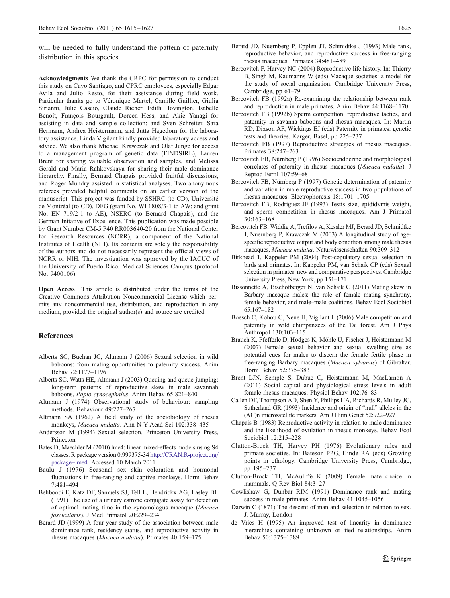<span id="page-11-0"></span>will be needed to fully understand the pattern of paternity distribution in this species.

Acknowledgments We thank the CRPC for permission to conduct this study on Cayo Santiago, and CPRC employees, especially Edgar Avila and Julio Resto, for their assistance during field work. Particular thanks go to Véronique Martel, Camille Guillier, Giulia Sirianni, Julie Cascio, Claude Richer, Edith Hovington, Isabelle Benoît, François Bourgault, Doreen Hess, and Akie Yanagi for assisting in data and sample collection; and Sven Schreiter, Sara Hermann, Andrea Heistermann, and Jutta Hagedorn for the laboratory assistance. Linda Vigilant kindly provided laboratory access and advice. We also thank Michael Krawczak and Olaf Junge for access to a management program of genetic data (FINDSIRE), Lauren Brent for sharing valuable observation and samples, and Melissa Gerald and Maria Rahkovskaya for sharing their male dominance hierarchy. Finally, Bernard Chapais provided fruitful discussions, and Roger Mundry assisted in statistical analyses. Two anonymous referees provided helpful comments on an earlier version of the manuscript. This project was funded by SSHRC (to CD), Université de Montréal (to CD), DFG (grant No. WI 1808/3-1 to AW; and grant No. EN 719/2-1 to AE), NSERC (to Bernard Chapais), and the German Initative of Excellence. This publication was made possible by Grant Number CM-5 P40 RR003640-20 from the National Center for Research Resources (NCRR), a component of the National Institutes of Health (NIH). Its contents are solely the responsibility of the authors and do not necessarily represent the official views of NCRR or NIH. The investigation was approved by the IACUC of the University of Puerto Rico, Medical Sciences Campus (protocol No. 9400106).

Open Access This article is distributed under the terms of the Creative Commons Attribution Noncommercial License which permits any noncommercial use, distribution, and reproduction in any medium, provided the original author(s) and source are credited.

#### References

- Alberts SC, Buchan JC, Altmann J (2006) Sexual selection in wild baboons: from mating opportunities to paternity success. Anim Behav 72:1177–1196
- Alberts SC, Watts HE, Altmann J (2003) Queuing and queue-jumping: long-term patterns of reproductive skew in male savannah baboons, Papio cynocephalus. Anim Behav 65:821–840
- Altmann J (1974) Observational study of behaviour: sampling methods. Behaviour 49:227–267
- Altmann SA (1962) A field study of the sociobiology of rhesus monkeys, Macaca mulatta. Ann N Y Acad Sci 102:338–435
- Andersson M (1994) Sexual selection. Princeton University Press, Princeton
- Bates D, Maechler M (2010) lme4: linear mixed-effects models using S4 classes. R package version 0.999375-34 [http://CRAN.R-project.org/](http://CRAN.R-project.org/package=lme4) [package=lme4.](http://CRAN.R-project.org/package=lme4) Accessed 10 March 2011
- Baulu J (1976) Seasonal sex skin coloration and hormonal fluctuations in free-ranging and captive monkeys. Horm Behav 7:481–494
- Behboodi E, Katz DF, Samuels SJ, Tell L, Hendrickx AG, Lasley BL (1991) The use of a urinary estrone conjugate assay for detection of optimal mating time in the cynomologus macaque (Macaca fascicularis). J Med Primatol 20:229–234
- Berard JD (1999) A four-year study of the association between male dominance rank, residency status, and reproductive activity in rhesus macaques (Macaca mulatta). Primates 40:159–175
- Berard JD, Nuernberg P, Epplen JT, Schmidtke J (1993) Male rank, reproductive behavior, and reproductive success in free-ranging rhesus macaques. Primates 34:481–489
- Bercovitch F, Harvey NC (2004) Reproductive life history. In: Thierry B, Singh M, Kaumanns W (eds) Macaque societies: a model for the study of social organization. Cambridge University Press, Cambridge, pp 61–79
- Bercovitch FB (1992a) Re-examining the relationship between rank and reproduction in male primates. Anim Behav 44:1168–1170
- Bercovitch FB (1992b) Sperm competition, reproductive tactics, and paternity in savanna baboons and rhesus macaques. In: Martin RD, Dixson AF, Wickings EJ (eds) Paternity in primates: genetic tests and theories. Karger, Basel, pp 225–237
- Bercovitch FB (1997) Reproductive strategies of rhesus macaques. Primates 38:247–263
- Bercovitch FB, Nürnberg P (1996) Socioendocrine and morphological correlates of paternity in rhesus macaques (Macaca mulatta). J Reprod Fertil 107:59–68
- Bercovitch FB, Nürnberg P (1997) Genetic determination of paternity and variation in male reproductive success in two populations of rhesus macaques. Electrophoresis 18:1701–1705
- Bercovitch FB, Rodriguez JF (1993) Testis size, epididymis weight, and sperm competition in rhesus macaques. Am J Primatol 30:163–168
- Bercovitch FB, Widdig A, Trefilov A, Kessler MJ, Berard JD, Schmidtke J, Nuernberg P, Krawczak M (2003) A longitudinal study of agespecific reproductive output and body condition among male rhesus macaques, Macaca mulatta. Naturwissenschaften 90:309–312
- Birkhead T, Kappeler PM (2004) Post-copulatory sexual selection in birds and primates. In: Kappeler PM, van Schaik CP (eds) Sexual selection in primates: new and comparative perspectives. Cambridge University Press, New York, pp 151–171
- Bissonnette A, Bischofberger N, van Schaik C (2011) Mating skew in Barbary macaque males: the role of female mating synchrony, female behavior, and male–male coalitions. Behav Ecol Sociobiol 65:167–182
- Boesch C, Kohou G, Nene H, Vigilant L (2006) Male competition and paternity in wild chimpanzees of the Tai forest. Am J Phys Anthropol 130:103–115
- Brauch K, Pfefferle D, Hodges K, Möhle U, Fischer J, Heistermann M (2007) Female sexual behavior and sexual swelling size as potential cues for males to discern the female fertile phase in free-ranging Barbary macaques (Macaca sylvanus) of Gibraltar. Horm Behav 52:375–383
- Brent LJN, Semple S, Dubuc C, Heistermann M, MacLarnon A (2011) Social capital and physiological stress levels in adult female rhesus macaques. Physiol Behav 102:76–83
- Callen DF, Thompson AD, Shen Y, Phillips HA, Richards R, Mulley JC, Sutherland GR (1993) Incidence and origin of "null" alleles in the (AC)n microsatellite markers. Am J Hum Genet 52:922–927
- Chapais B (1983) Reproductive activity in relation to male dominance and the likelihood of ovulation in rhesus monkeys. Behav Ecol Sociobiol 12:215–228
- Clutton-Brock TH, Harvey PH (1976) Evolutionary rules and primate societies. In: Bateson PPG, Hinde RA (eds) Growing points in ethology. Cambridge University Press, Cambridge, pp 195–237
- Clutton-Brock TH, McAuliffe K (2009) Female mate choice in mammals. Q Rev Biol 84:3–27
- Cowlishaw G, Dunbar RIM (1991) Dominance rank and mating success in male primates. Anim Behav 41:1045–1056
- Darwin C (1871) The descent of man and selection in relation to sex. J. Murray, London
- de Vries H (1995) An improved test of linearity in dominance hierarchies containing unknown or tied relationships. Anim Behav 50:1375–1389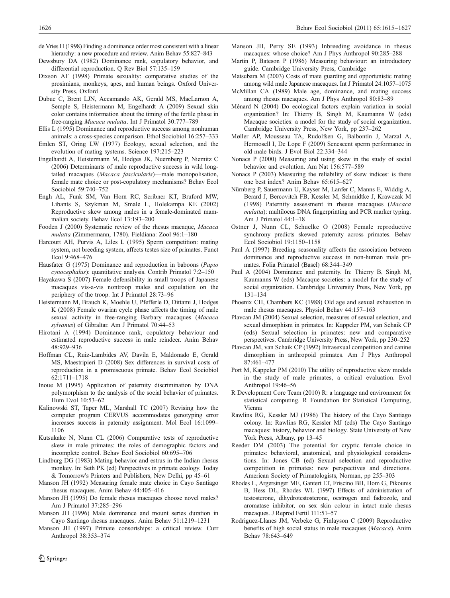- <span id="page-12-0"></span>de Vries H (1998) Finding a dominance order most consistent with a linear hierarchy: a new procedure and review. Anim Behav 55:827–843
- Dewsbury DA (1982) Dominance rank, copulatory behavior, and differential reproduction. Q Rev Biol 57:135–159
- Dixson AF (1998) Primate sexuality: comparative studies of the prosimians, monkeys, apes, and human beings. Oxford University Press, Oxford
- Dubuc C, Brent LJN, Accamando AK, Gerald MS, MacLarnon A, Semple S, Heistermann M, Engelhardt A (2009) Sexual skin color contains information about the timing of the fertile phase in free-ranging Macaca mulatta. Int J Primatol 30:777–789
- Ellis L (1995) Dominance and reproductive success among nonhuman animals: a cross-species comparison. Ethol Sociobiol 16:257–333
- Emlen ST, Oring LW (1977) Ecology, sexual selection, and the evolution of mating systems. Science 197:215–223
- Engelhardt A, Heistermann M, Hodges JK, Nuernberg P, Niemitz C (2006) Determinants of male reproductive success in wild longtailed macaques (Macaca fascicularis)—male monopolisation, female mate choice or post-copulatory mechanisms? Behav Ecol Sociobiol 59:740–752
- Engh AL, Funk SM, Van Horn RC, Scribner KT, Bruford MW, Libants S, Szykman M, Smale L, Holekampa KE (2002) Reproductive skew among males in a female-dominated mammalian society. Behav Ecol 13:193–200
- Fooden J (2000) Systematic review of the rhesus macaque, Macaca mulatta (Zimmermann, 1780). Fieldiana: Zool 96:1–180
- Harcourt AH, Purvis A, Liles L (1995) Sperm competition: mating system, not breeding system, affects testes size of primates. Funct Ecol 9:468–476
- Hausfater G (1975) Dominance and reproduction in baboons (Papio cynocephalus): quantitative analysis. Contrib Primatol 7:2–150
- Hayakawa S (2007) Female defensibility in small troops of Japanese macaques vis-a-vis nontroop males and copulation on the periphery of the troop. Int J Primatol 28:73–96
- Heistermann M, Brauch K, Moehle U, Pfefferle D, Dittami J, Hodges K (2008) Female ovarian cycle phase affects the timing of male sexual activity in free-ranging Barbary macaques (Macaca sylvanus) of Gibraltar. Am J Primatol 70:44–53
- Hirotani A (1994) Dominance rank, copulatory behaviour and estimated reproductive success in male reindeer. Anim Behav 48:929–936
- Hoffman CL, Ruiz-Lambides AV, Davila E, Maldonado E, Gerald MS, Maestripieri D (2008) Sex differences in survival costs of reproduction in a promiscuous primate. Behav Ecol Sociobiol 62:1711–1718
- Inoue M (1995) Application of paternity discrimination by DNA polymorphism to the analysis of the social behavior of primates. Hum Evol 10:53–62
- Kalinowski ST, Taper ML, Marshall TC (2007) Revising how the computer program CERVUS accommodates genotyping error increases success in paternity assignment. Mol Ecol 16:1099– 1106
- Kutsukake N, Nunn CL (2006) Comparative tests of reproductive skew in male primates: the roles of demographic factors and incomplete control. Behav Ecol Sociobiol 60:695–706
- Lindburg DG (1983) Mating behavior and estrus in the Indian rhesus monkey. In: Seth PK (ed) Perspectives in primate ecology. Today & Tomorrow's Printers and Publishers, New Delhi, pp 45–61
- Manson JH (1992) Measuring female mate choice in Cayo Santiago rhesus macaques. Anim Behav 44:405–416
- Manson JH (1995) Do female rhesus macaques choose novel males? Am J Primatol 37:285–296
- Manson JH (1996) Male dominance and mount series duration in Cayo Santiago rhesus macaques. Anim Behav 51:1219–1231
- Manson JH (1997) Primate consortships: a critical review. Curr Anthropol 38:353–374
- Manson JH, Perry SE (1993) Inbreeding avoidance in rhesus macaques: whose choice? Am J Phys Anthropol 90:285–288
- Martin P, Bateson P (1986) Measuring behaviour: an introductory guide. Cambridge University Press, Cambridge
- Matsubara M (2003) Costs of mate guarding and opportunistic mating among wild male Japanese macaques. Int J Primatol 24:1057–1075
- McMillan CA (1989) Male age, dominance, and mating success among rhesus macaques. Am J Phys Anthropol 80:83–89
- Ménard N (2004) Do ecological factors explain variation in social organization? In: Thierry B, Singh M, Kaumanns W (eds) Macaque societies: a model for the study of social organization. Cambridge University Press, New York, pp 237–262
- Møller AP, Mousseau TA, Rudolfsen G, Balbontín J, Marzal A, Hermosell I, De Lope F (2009) Senescent sperm performance in old male birds. J Evol Biol 22:334–344
- Nonacs P (2000) Measuring and using skew in the study of social behavior and evolution. Am Nat 156:577–589
- Nonacs P (2003) Measuring the reliability of skew indices: is there one best index? Anim Behav 65:615–627
- Nürnberg P, Sauermann U, Kayser M, Lanfer C, Manns E, Widdig A, Berard J, Bercovitch FB, Kessler M, Schmidtke J, Krawczak M (1998) Paternity assessment in rhesus macaques (Macaca mulatta): multilocus DNA fingerprinting and PCR marker typing. Am J Primatol 44:1–18
- Ostner J, Nunn CL, Schuelke O (2008) Female reproductive synchrony predicts skewed paternity across primates. Behav Ecol Sociobiol 19:1150–1158
- Paul A (1997) Breeding seasonality affects the association between dominance and reproductive success in non-human male primates. Folia Primatol (Basel) 68:344–349
- Paul A (2004) Dominance and paternity. In: Thierry B, Singh M, Kaumanns W (eds) Macaque societies: a model for the study of social organization. Cambridge University Press, New York, pp 131–134
- Phoenix CH, Chambers KC (1988) Old age and sexual exhaustion in male rhesus macaques. Physiol Behav 44:157–163
- Plavcan JM (2004) Sexual selection, measures of sexual selection, and sexual dimorphism in primates. In: Kappeler PM, van Schaik CP (eds) Sexual selection in primates: new and comparative perspectives. Cambridge University Press, New York, pp 230–252
- Plavcan JM, van Schaik CP (1992) Intrasexual competition and canine dimorphism in anthropoid primates. Am J Phys Anthropol 87:461–477
- Port M, Kappeler PM (2010) The utility of reproductive skew models in the study of male primates, a critical evaluation. Evol Anthropol 19:46–56
- R Development Core Team (2010) R: a language and environment for statistical computing. R Foundation for Statistical Computing, Vienna
- Rawlins RG, Kessler MJ (1986) The history of the Cayo Santiago colony. In: Rawlins RG, Kessler MJ (eds) The Cayo Santiago macaques: history, behavior and biology. State University of New York Press, Albany, pp 13–45
- Reeder DM (2003) The potential for cryptic female choice in primates: behavioral, anatomical, and physiological considerations. In: Jones CB (ed) Sexual selection and reproductive competition in primates: new perspectives and directions. American Society of Primatologists, Norman, pp 255–303
- Rhodes L, Argersinger ME, Gantert LT, Friscino BH, Hom G, Pikounis B, Hess DL, Rhodes WL (1997) Effects of administration of testosterone, dihydrotestosterone, oestrogen and fadrozole, and aromatase inhibitor, on sex skin colour in intact male rhesus macaques. J Reprod Fertil 111:51–57
- Rodriguez-Llanes JM, Verbeke G, Finlayson C (2009) Reproductive benefits of high social status in male macaques (Macaca). Anim Behav 78:643–649